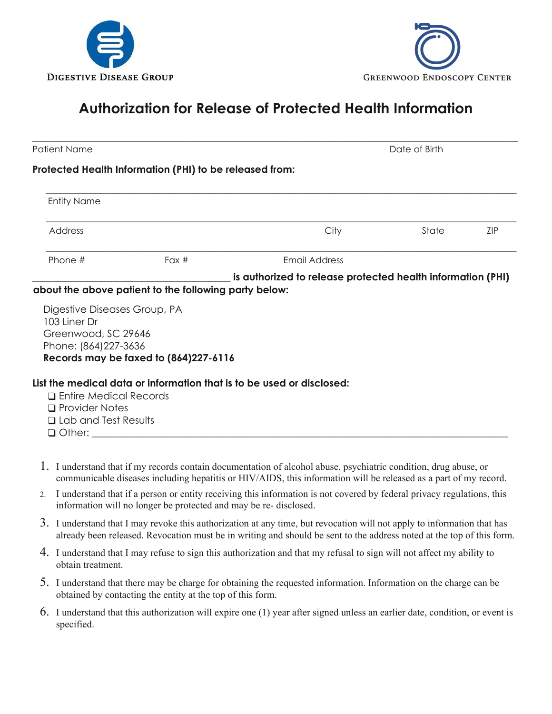



## **Authorization for Release of Protected Health Information**

| <b>Patient Name</b>                  |                                                                       | Date of Birth                                               |       |            |
|--------------------------------------|-----------------------------------------------------------------------|-------------------------------------------------------------|-------|------------|
|                                      | Protected Health Information (PHI) to be released from:               |                                                             |       |            |
| <b>Entity Name</b>                   |                                                                       |                                                             |       |            |
| Address                              |                                                                       | City                                                        | State | <b>ZIP</b> |
| Phone #                              | Fax $#$                                                               | Email Address                                               |       |            |
|                                      |                                                                       | is authorized to release protected health information (PHI) |       |            |
|                                      | about the above patient to the following party below:                 |                                                             |       |            |
| Digestive Diseases Group, PA         |                                                                       |                                                             |       |            |
| 103 Liner Dr<br>Greenwood, SC 29646  |                                                                       |                                                             |       |            |
| Phone: (864) 227-3636                |                                                                       |                                                             |       |            |
|                                      | Records may be faxed to (864)227-6116                                 |                                                             |       |            |
|                                      | List the medical data or information that is to be used or disclosed: |                                                             |       |            |
| $\Box$ Entire Medical Records        |                                                                       |                                                             |       |            |
| $\Box$ Provider Notes                |                                                                       |                                                             |       |            |
| <b>Q</b> Lab and Test Results        |                                                                       |                                                             |       |            |
| $\Box$ Other: $\_\_\_\_\_\_\_\_\_\_$ |                                                                       |                                                             |       |            |

- 1. I understand that if my records contain documentation of alcohol abuse, psychiatric condition, drug abuse, or communicable diseases including hepatitis or HIV/AIDS, this information will be released as a part of my record.
- 2. I understand that if a person or entity receiving this information is not covered by federal privacy regulations, this information will no longer be protected and may be re- disclosed.
- 3. I understand that I may revoke this authorization at any time, but revocation will not apply to information that has already been released. Revocation must be in writing and should be sent to the address noted at the top of this form.
- 4. I understand that I may refuse to sign this authorization and that my refusal to sign will not affect my ability to obtain treatment.
- 5. I understand that there may be charge for obtaining the requested information. Information on the charge can be obtained by contacting the entity at the top of this form.
- 6. I understand that this authorization will expire one (1) year after signed unless an earlier date, condition, or event is specified.